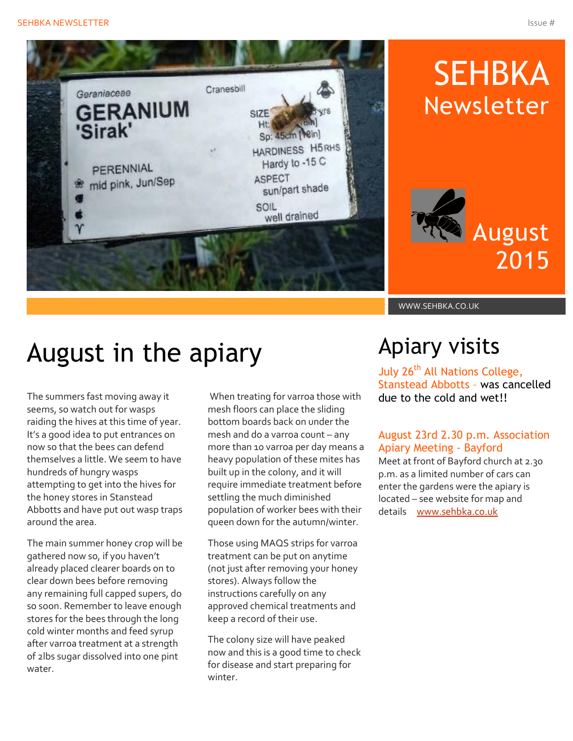

# SEHBKA Newsletter

# August 2015

WWW.SEHBKA.CO.UK

### August in the apiary

The summers fast moving away it seems, so watch out for wasps raiding the hives at this time of year. It's a good idea to put entrances on now so that the bees can defend themselves a little. We seem to have hundreds of hungry wasps attempting to get into the hives for the honey stores in Stanstead Abbotts and have put out wasp traps around the area.

The main summer honey crop will be gathered now so, if you haven't already placed clearer boards on to clear down bees before removing any remaining full capped supers, do so soon. Remember to leave enough stores for the bees through the long cold winter months and feed syrup after varroa treatment at a strength of 2lbs sugar dissolved into one pint water.

When treating for varroa those with mesh floors can place the sliding bottom boards back on under the mesh and do a varroa count – any more than 10 varroa per day means a heavy population of these mites has built up in the colony, and it will require immediate treatment before settling the much diminished population of worker bees with their queen down for the autumn/winter.

Those using MAQS strips for varroa treatment can be put on anytime (not just after removing your honey stores). Always follow the instructions carefully on any approved chemical treatments and keep a record of their use.

The colony size will have peaked now and this is a good time to check for disease and start preparing for winter.

### Apiary visits

July 26<sup>th</sup> All Nations College, Stanstead Abbotts – was cancelled due to the cold and wet!!

#### August 23rd 2.30 p.m. Association Apiary Meeting - Bayford

Meet at front of Bayford church at 2.30 p.m. as a limited number of cars can enter the gardens were the apiary is located – see website for map and details [www.sehbka.co.uk](http://www.sehbka.co.uk/)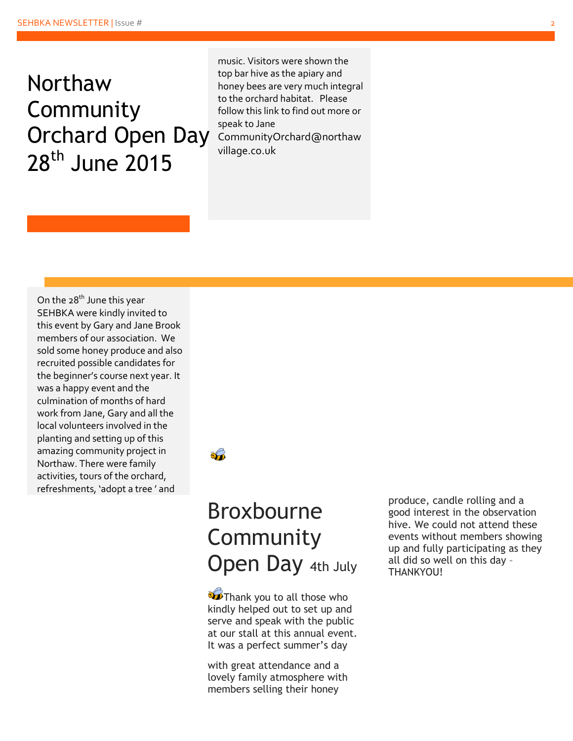### Northaw Community Orchard Open Day 28<sup>th</sup> June 2015

music. Visitors were shown the top bar hive as the apiary and honey bees are very much integral to the orchard habitat. Please follow this link to find out more or speak to Jane CommunityOrchard@northaw village.co.uk

On the  $28<sup>th</sup>$  June this year SEHBKA were kindly invited to this event by Gary and Jane Brook members of our association. We sold some honey produce and also recruited possible candidates for the beginner's course next year. It was a happy event and the culmination of months of hard work from Jane, Gary and all the local volunteers involved in the planting and setting up of this amazing community project in Northaw. There were family activities, tours of the orchard, refreshments, 'adopt a tree ' and



#### Broxbourne **Community Open Day 4th July**

**Thank you to all those who** kindly helped out to set up and serve and speak with the public at our stall at this annual event. It was a perfect summer's day

with great attendance and a lovely family atmosphere with members selling their honey

produce, candle rolling and a good interest in the observation hive. We could not attend these events without members showing up and fully participating as they all did so well on this day – THANKYOU!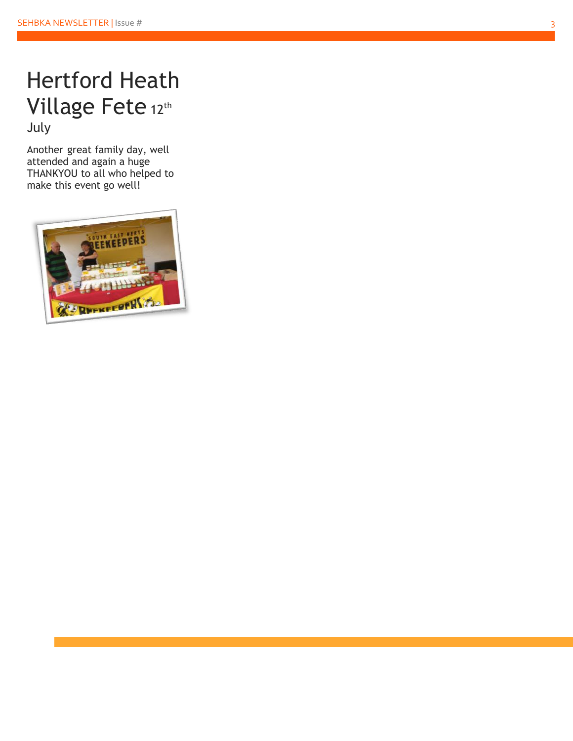#### Hertford Heath Village Fete 12th July

Another great fa mily day, well attended and again a huge THANKYOU to all who helped to make this event go well!